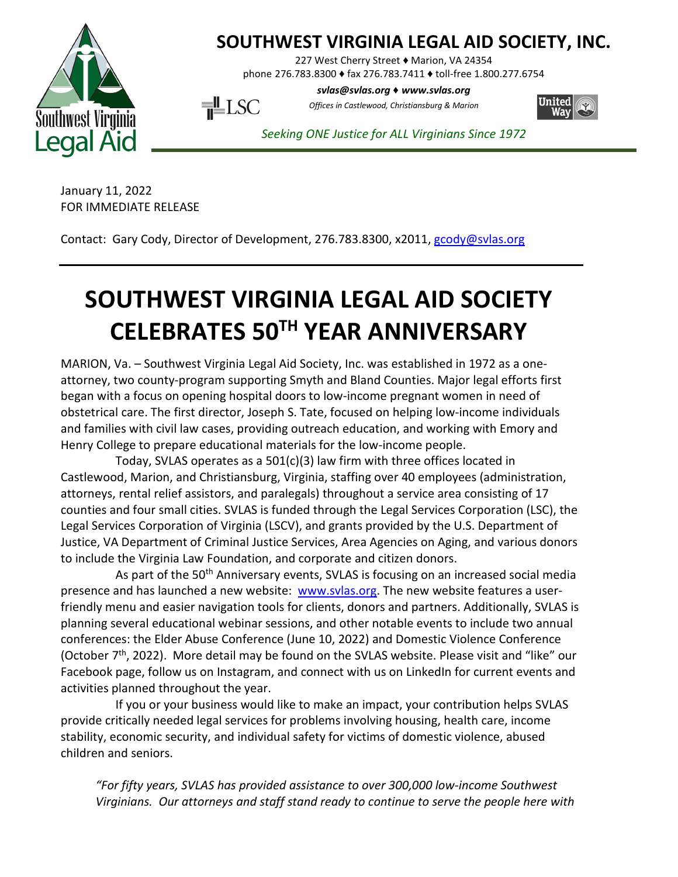

## **SOUTHWEST VIRGINIA LEGAL AID SOCIETY, INC.**

227 West Cherry Street ♦ Marion, VA 24354

phone 276.783.8300 ♦ fax 276.783.7411 ♦ toll-free 1.800.277.6754

*svlas@svlas.org* ♦ *www.svlas.org*

United

 $\overline{\mathbf{H}}$ LSC

*Seeking ONE Justice for ALL Virginians Since 1972*

*Offices in Castlewood, Christiansburg & Marion*

January 11, 2022

FOR IMMEDIATE RELEASE

Contact: Gary Cody, Director of Development, 276.783.8300, x2011, [gcody@svlas.org](mailto:gcody@svlas.org)

## **SOUTHWEST VIRGINIA LEGAL AID SOCIETY CELEBRATES 50TH YEAR ANNIVERSARY**

MARION, Va. – Southwest Virginia Legal Aid Society, Inc. was established in 1972 as a oneattorney, two county-program supporting Smyth and Bland Counties. Major legal efforts first began with a focus on opening hospital doors to low-income pregnant women in need of obstetrical care. The first director, Joseph S. Tate, focused on helping low-income individuals and families with civil law cases, providing outreach education, and working with Emory and Henry College to prepare educational materials for the low-income people.

Today, SVLAS operates as a 501(c)(3) law firm with three offices located in Castlewood, Marion, and Christiansburg, Virginia, staffing over 40 employees (administration, attorneys, rental relief assistors, and paralegals) throughout a service area consisting of 17 counties and four small cities. SVLAS is funded through the Legal Services Corporation (LSC), the Legal Services Corporation of Virginia (LSCV), and grants provided by the U.S. Department of Justice, VA Department of Criminal Justice Services, Area Agencies on Aging, and various donors to include the Virginia Law Foundation, and corporate and citizen donors.

As part of the 50<sup>th</sup> Anniversary events, SVLAS is focusing on an increased social media presence and has launched a new website: [www.svlas.org.](http://www.svlas.org/) The new website features a userfriendly menu and easier navigation tools for clients, donors and partners. Additionally, SVLAS is planning several educational webinar sessions, and other notable events to include two annual conferences: the Elder Abuse Conference (June 10, 2022) and Domestic Violence Conference (October  $7<sup>th</sup>$ , 2022). More detail may be found on the SVLAS website. Please visit and "like" our Facebook page, follow us on Instagram, and connect with us on LinkedIn for current events and activities planned throughout the year.

If you or your business would like to make an impact, your contribution helps SVLAS provide critically needed legal services for problems involving housing, health care, income stability, economic security, and individual safety for victims of domestic violence, abused children and seniors.

*"For fifty years, SVLAS has provided assistance to over 300,000 low-income Southwest Virginians. Our attorneys and staff stand ready to continue to serve the people here with*